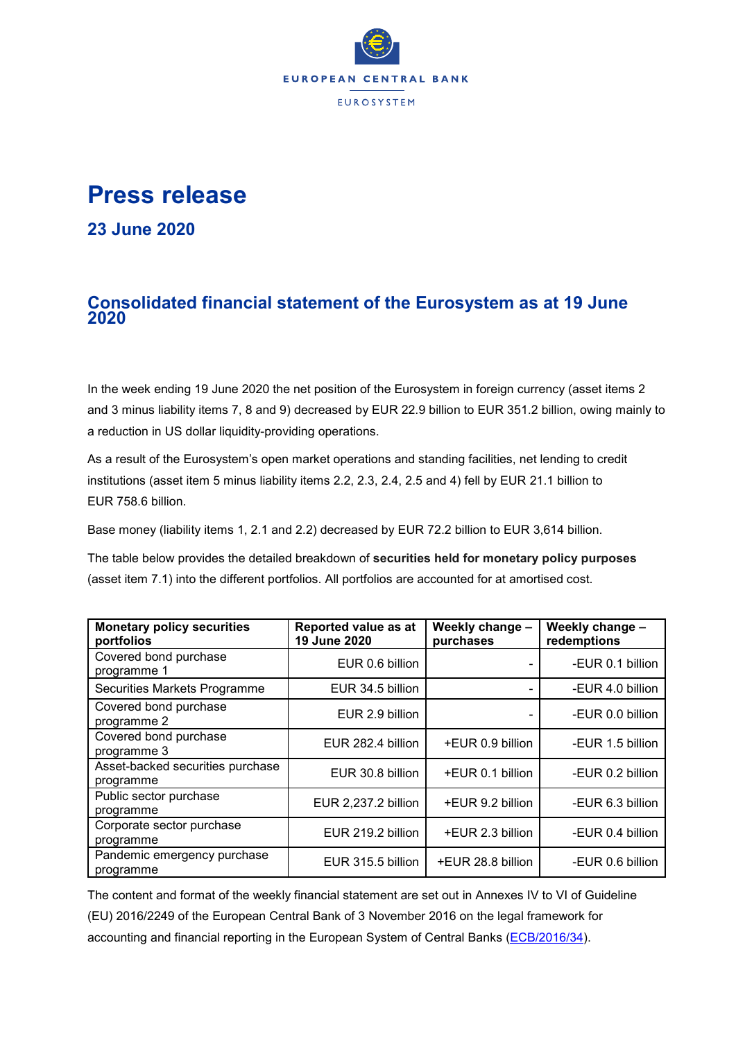

## **Press release**

**23 June 2020**

## **Consolidated financial statement of the Eurosystem as at 19 June 2020**

In the week ending 19 June 2020 the net position of the Eurosystem in foreign currency (asset items 2 and 3 minus liability items 7, 8 and 9) decreased by EUR 22.9 billion to EUR 351.2 billion, owing mainly to a reduction in US dollar liquidity-providing operations.

As a result of the Eurosystem's open market operations and standing facilities, net lending to credit institutions (asset item 5 minus liability items 2.2, 2.3, 2.4, 2.5 and 4) fell by EUR 21.1 billion to EUR 758.6 billion.

Base money (liability items 1, 2.1 and 2.2) decreased by EUR 72.2 billion to EUR 3,614 billion.

The table below provides the detailed breakdown of **securities held for monetary policy purposes** (asset item 7.1) into the different portfolios. All portfolios are accounted for at amortised cost.

| <b>Monetary policy securities</b><br>portfolios | Reported value as at<br>19 June 2020 | Weekly change -<br>purchases | Weekly change -<br>redemptions |  |
|-------------------------------------------------|--------------------------------------|------------------------------|--------------------------------|--|
| Covered bond purchase<br>programme 1            | EUR 0.6 billion                      |                              | -EUR 0.1 billion               |  |
| Securities Markets Programme                    | EUR 34.5 billion                     |                              | -EUR 4.0 billion               |  |
| Covered bond purchase<br>programme 2            | EUR 2.9 billion                      |                              | -EUR 0.0 billion               |  |
| Covered bond purchase<br>programme 3            | EUR 282.4 billion                    | +EUR 0.9 billion             | -EUR 1.5 billion               |  |
| Asset-backed securities purchase<br>programme   | EUR 30.8 billion                     | +EUR 0.1 billion             | -EUR 0.2 billion               |  |
| Public sector purchase<br>programme             | EUR 2,237.2 billion                  | +EUR 9.2 billion             | -EUR 6.3 billion               |  |
| Corporate sector purchase<br>programme          | EUR 219.2 billion                    | +EUR 2.3 billion             | -EUR 0.4 billion               |  |
| Pandemic emergency purchase<br>programme        | EUR 315.5 billion                    | +EUR 28.8 billion            | -EUR 0.6 billion               |  |

The content and format of the weekly financial statement are set out in Annexes IV to VI of Guideline (EU) 2016/2249 of the European Central Bank of 3 November 2016 on the legal framework for accounting and financial reporting in the European System of Central Banks [\(ECB/2016/34\)](http://www.ecb.europa.eu/ecb/legal/1001/1012/html/index.en.html).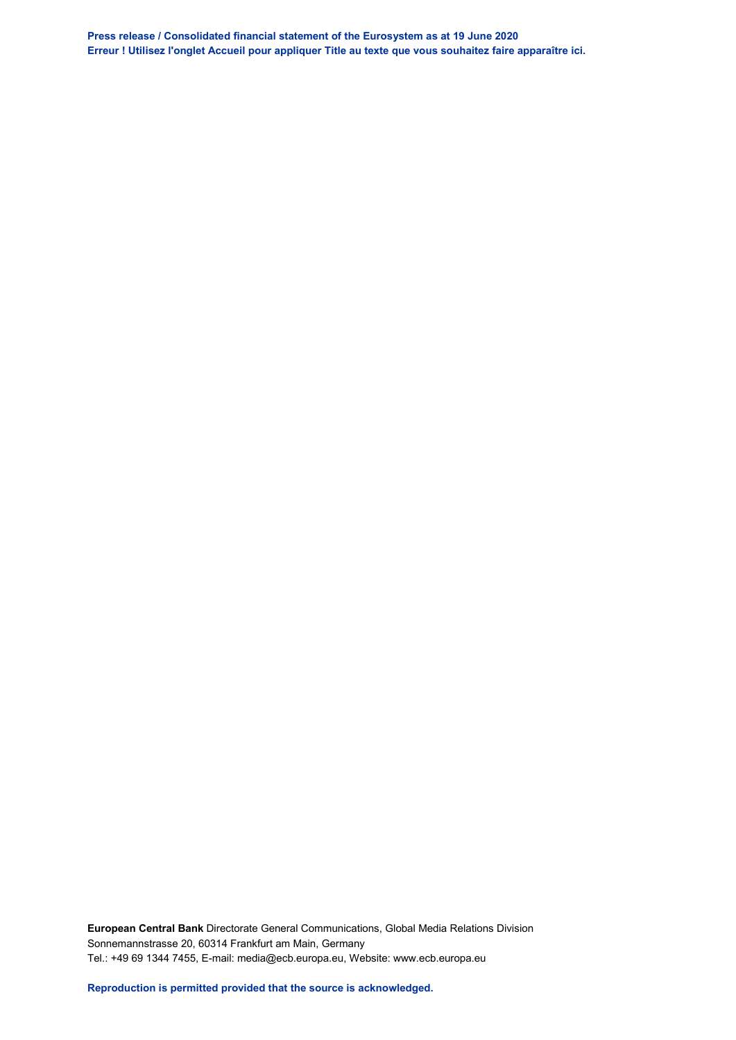**Press release / Consolidated financial statement of the Eurosystem as at 19 June 2020 Erreur ! Utilisez l'onglet Accueil pour appliquer Title au texte que vous souhaitez faire apparaître ici.**

**European Central Bank** Directorate General Communications, Global Media Relations Division Sonnemannstrasse 20, 60314 Frankfurt am Main, Germany Tel.: +49 69 1344 7455, E-mail: media@ecb.europa.eu, Website: www.ecb.europa.eu